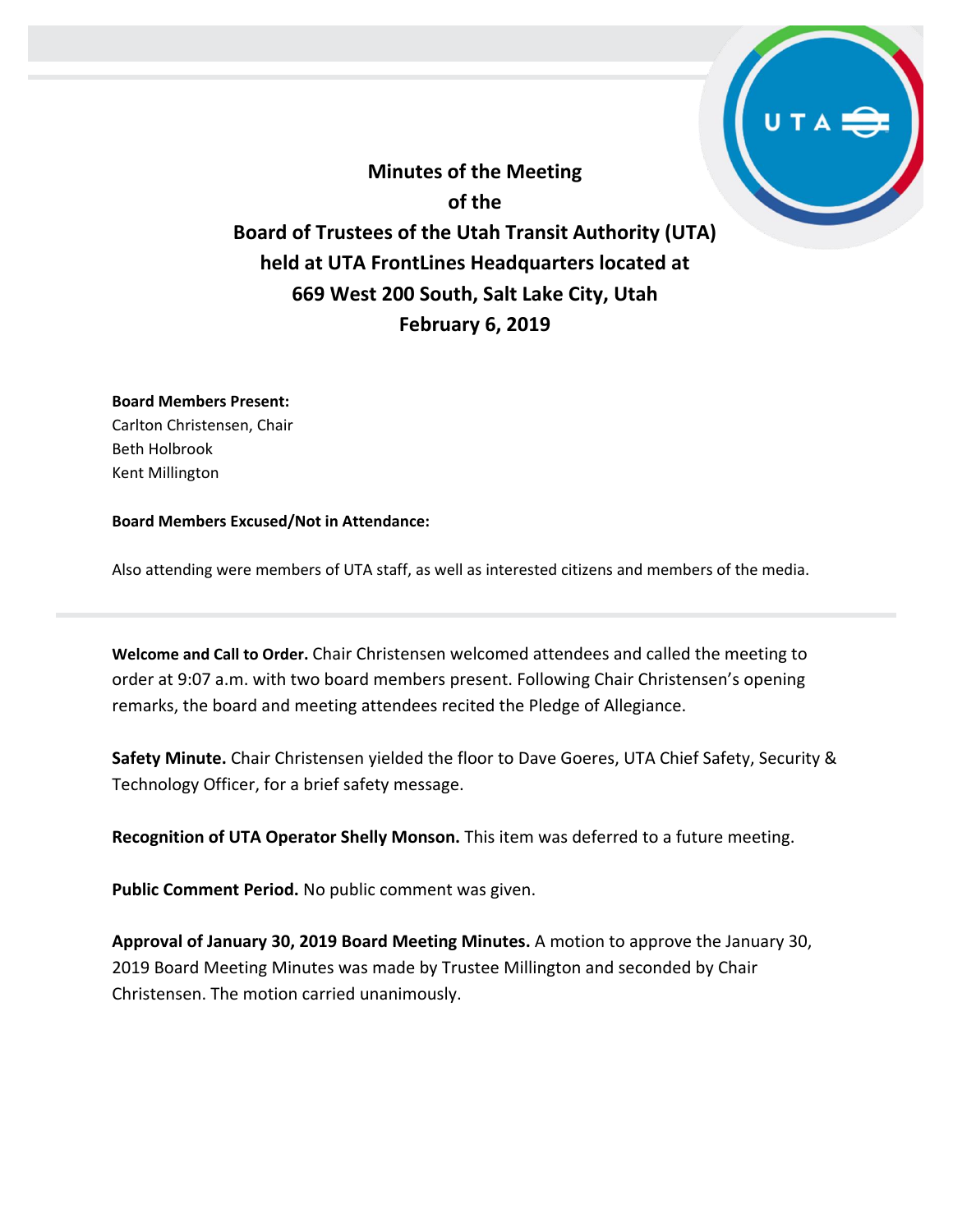**Minutes of the Meeting of the Board of Trustees of the Utah Transit Authority (UTA) held at UTA FrontLines Headquarters located at 669 West 200 South, Salt Lake City, Utah February 6, 2019**

## **Board Members Present:**

Carlton Christensen, Chair Beth Holbrook Kent Millington

## **Board Members Excused/Not in Attendance:**

Also attending were members of UTA staff, as well as interested citizens and members of the media.

**Welcome and Call to Order.** Chair Christensen welcomed attendees and called the meeting to order at 9:07 a.m. with two board members present. Following Chair Christensen's opening remarks, the board and meeting attendees recited the Pledge of Allegiance.

**Safety Minute.** Chair Christensen yielded the floor to Dave Goeres, UTA Chief Safety, Security & Technology Officer, for a brief safety message.

**Recognition of UTA Operator Shelly Monson.** This item was deferred to a future meeting.

**Public Comment Period.** No public comment was given.

**Approval of January 30, 2019 Board Meeting Minutes.** A motion to approve the January 30, 2019 Board Meeting Minutes was made by Trustee Millington and seconded by Chair Christensen. The motion carried unanimously.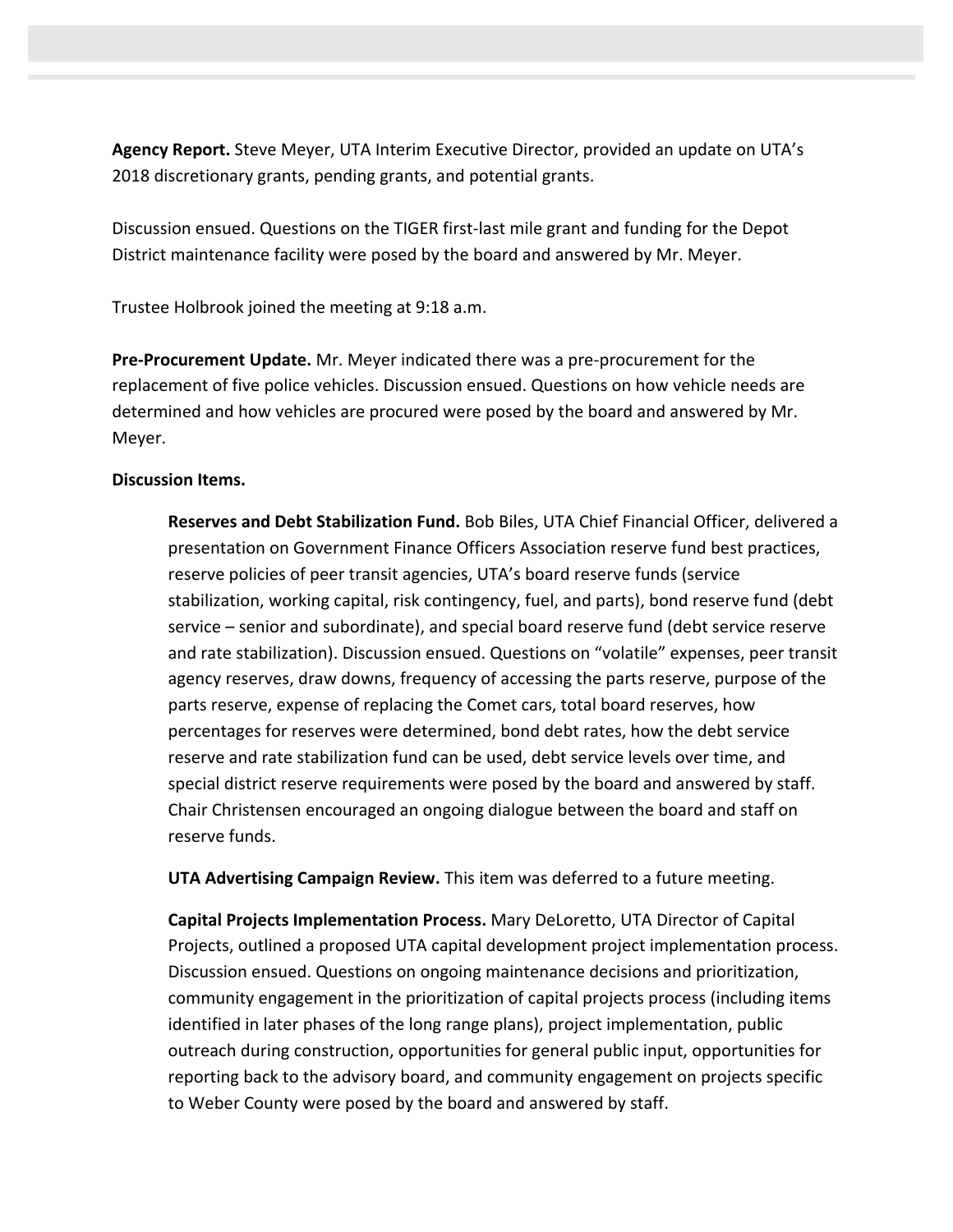**Agency Report.** Steve Meyer, UTA Interim Executive Director, provided an update on UTA's 2018 discretionary grants, pending grants, and potential grants.

Discussion ensued. Questions on the TIGER first-last mile grant and funding for the Depot District maintenance facility were posed by the board and answered by Mr. Meyer.

Trustee Holbrook joined the meeting at 9:18 a.m.

**Pre-Procurement Update.** Mr. Meyer indicated there was a pre-procurement for the replacement of five police vehicles. Discussion ensued. Questions on how vehicle needs are determined and how vehicles are procured were posed by the board and answered by Mr. Meyer.

## **Discussion Items.**

**Reserves and Debt Stabilization Fund.** Bob Biles, UTA Chief Financial Officer, delivered a presentation on Government Finance Officers Association reserve fund best practices, reserve policies of peer transit agencies, UTA's board reserve funds (service stabilization, working capital, risk contingency, fuel, and parts), bond reserve fund (debt service – senior and subordinate), and special board reserve fund (debt service reserve and rate stabilization). Discussion ensued. Questions on "volatile" expenses, peer transit agency reserves, draw downs, frequency of accessing the parts reserve, purpose of the parts reserve, expense of replacing the Comet cars, total board reserves, how percentages for reserves were determined, bond debt rates, how the debt service reserve and rate stabilization fund can be used, debt service levels over time, and special district reserve requirements were posed by the board and answered by staff. Chair Christensen encouraged an ongoing dialogue between the board and staff on reserve funds.

**UTA Advertising Campaign Review.** This item was deferred to a future meeting.

**Capital Projects Implementation Process.** Mary DeLoretto, UTA Director of Capital Projects, outlined a proposed UTA capital development project implementation process. Discussion ensued. Questions on ongoing maintenance decisions and prioritization, community engagement in the prioritization of capital projects process (including items identified in later phases of the long range plans), project implementation, public outreach during construction, opportunities for general public input, opportunities for reporting back to the advisory board, and community engagement on projects specific to Weber County were posed by the board and answered by staff.